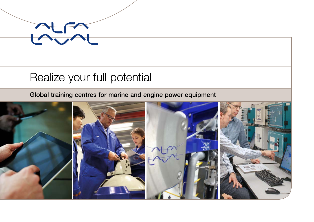

## Realize your full potential

Global training centres for marine and engine power equipment

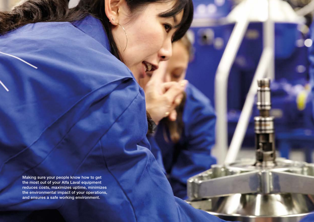Making sure your people know how to get the most out of your Alfa Laval equipment reduces costs, maximizes uptime, minimizes the environmental impact of your operations, and ensures a safe working environment.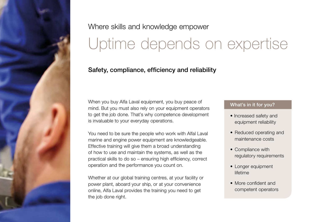

## Where skills and knowledge empower Uptime depends on expertise

### Safety, compliance, efficiency and reliability

When you buy Alfa Laval equipment, you buy peace of mind. But you must also rely on your equipment operators to get the job done. That's why competence development is invaluable to your everyday operations.

You need to be sure the people who work with Alfal Laval marine and engine power equipment are knowledgeable. Effective training will give them a broad understanding of how to use and maintain the systems, as well as the practical skills to do so – ensuring high efficiency, correct operation and the performance you count on.

Whether at our global training centres, at your facility or power plant, aboard your ship, or at your convenience online, Alfa Laval provides the training you need to get the job done right.

#### What's in it for you?

- Increased safety and equipment reliability
- Reduced operating and maintenance costs
- Compliance with regulatory requirements
- Longer equipment lifetime
- More confident and competent operators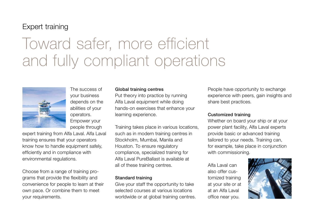### Expert training

# Toward safer, more efficient and fully compliant operations



The success of your business depends on the abilities of your operators. Empower your people through

expert training from Alfa Laval. Alfa Laval training ensures that your operators know how to handle equipment safely, efficiently and in compliance with environmental regulations.

Choose from a range of training programs that provide the flexibility and convenience for people to learn at their own pace. Or combine them to meet your requirements.

#### Global training centres

Put theory into practice by running Alfa Laval equipment while doing hands-on exercises that enhance your learning experience.

Training takes place in various locations, such as in modern training centres in Stockholm, Mumbai, Manila and Houston. To ensure regulatory compliance, specialized training for Alfa Laval PureBallast is available at all of these training centres.

#### Standard training

Give your staff the opportunity to take selected courses at various locations worldwide or at global training centres.

People have opportunity to exchange experience with peers, gain insights and share best practices.

#### Customized training

Whether on board your ship or at your power plant facility, Alfa Laval experts provide basic or advanced training tailored to your needs. Training can, for example, take place in conjunction with commissioning.

Alfa Laval can also offer customized training at your site or at at an Alfa Laval office near you.

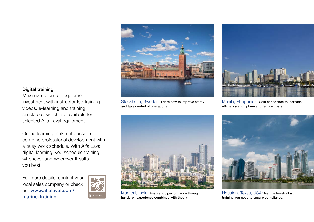

Stockholm, Sweden: Learn how to improve safety and take control of operations.



Manila, Philippines: Gain confidence to increase efficiency and uptime and reduce costs.



Mumbai, India: Ensure top performance through Scan me hands-on experience combined with theory.<br>
hands-on experience combined with theory. Training you need to ensure compliance.



Houston, Texas, USA: Get the PureBallast

#### Digital training

Maximize return on equipment investment with instructor-led training videos, e-learning and training simulators, which are available for selected Alfa Laval equipment.

Online learning makes it possible to combine professional development with a busy work schedule. With Alfa Laval digital learning, you schedule training whenever and wherever it suits you best.

For more details, contact your local sales company or check out www.alfalaval.com/ marine-training.

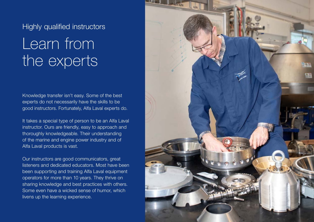### Highly qualified instructors

# Learn from the experts

Knowledge transfer isn't easy. Some of the best experts do not necessarily have the skills to be good instructors. Fortunately, Alfa Laval experts do.

It takes a special type of person to be an Alfa Laval instructor. Ours are friendly, easy to approach and thoroughly knowledgeable. Their understanding of the marine and engine power industry and of Alfa Laval products is vast.

Our instructors are good communicators, great listeners and dedicated educators. Most have been been supporting and training Alfa Laval equipment operators for more than 10 years. They thrive on sharing knowledge and best practices with others. Some even have a wicked sense of humor, which livens up the learning experience.

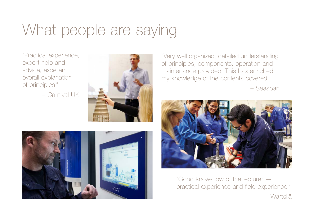# What people are saying

"Practical experience, expert help and advice, excellent overall explanation of principles."

– Carnival UK





"Very well organized, detailed understanding of principles, components, operation and maintenance provided. This has enriched my knowledge of the contents covered."

– Seaspan



"Good know-how of the lecturer practical experience and field experience." – Wärtsilä